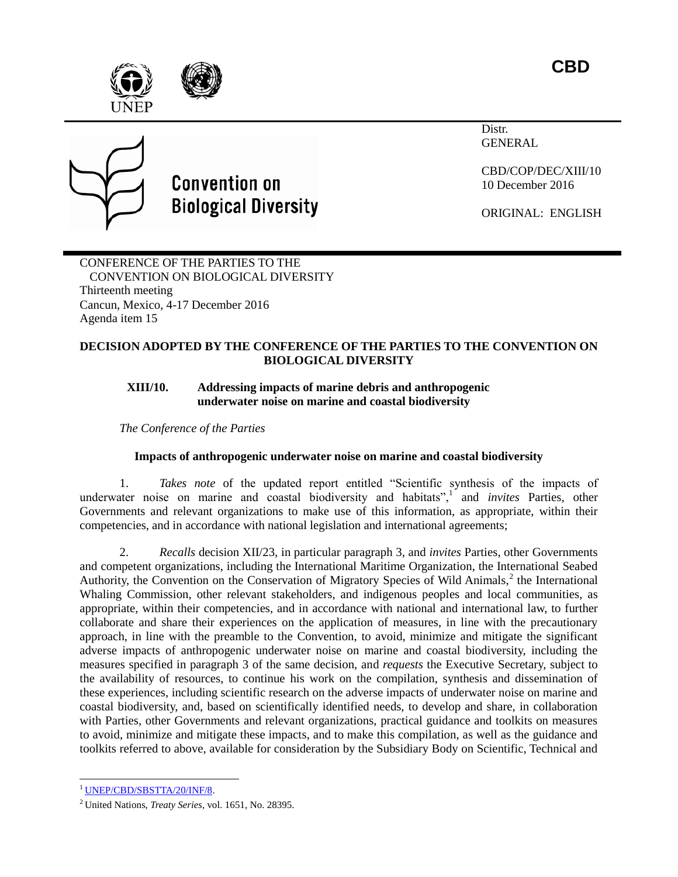**CBD**





# **Convention on Biological Diversity**

Distr. **GENERAL** 

CBD/COP/DEC/XIII/10 10 December 2016

ORIGINAL: ENGLISH

CONFERENCE OF THE PARTIES TO THE CONVENTION ON BIOLOGICAL DIVERSITY Thirteenth meeting Cancun, Mexico, 4-17 December 2016 Agenda item 15

## **DECISION ADOPTED BY THE CONFERENCE OF THE PARTIES TO THE CONVENTION ON BIOLOGICAL DIVERSITY**

## **XIII/10. Addressing impacts of marine debris and anthropogenic underwater noise on marine and coastal biodiversity**

*The Conference of the Parties*

# **Impacts of anthropogenic underwater noise on marine and coastal biodiversity**

1. *Takes note* of the updated report entitled "Scientific synthesis of the impacts of underwater noise on marine and coastal biodiversity and habitats",<sup>1</sup> and *invites* Parties, other Governments and relevant organizations to make use of this information, as appropriate, within their competencies, and in accordance with national legislation and international agreements;

2. *Recalls* decision XII/23, in particular paragraph 3, and *invites* Parties, other Governments and competent organizations, including the International Maritime Organization, the International Seabed Authority, the Convention on the Conservation of Migratory Species of Wild Animals,<sup>2</sup> the International Whaling Commission, other relevant stakeholders, and indigenous peoples and local communities, as appropriate, within their competencies, and in accordance with national and international law, to further collaborate and share their experiences on the application of measures, in line with the precautionary approach, in line with the preamble to the Convention, to avoid, minimize and mitigate the significant adverse impacts of anthropogenic underwater noise on marine and coastal biodiversity, including the measures specified in paragraph 3 of the same decision, and *requests* the Executive Secretary, subject to the availability of resources, to continue his work on the compilation, synthesis and dissemination of these experiences, including scientific research on the adverse impacts of underwater noise on marine and coastal biodiversity, and, based on scientifically identified needs, to develop and share, in collaboration with Parties, other Governments and relevant organizations, practical guidance and toolkits on measures to avoid, minimize and mitigate these impacts, and to make this compilation, as well as the guidance and toolkits referred to above, available for consideration by the Subsidiary Body on Scientific, Technical and

l

<sup>1</sup> [UNEP/CBD/SBSTTA/20/INF/8.](https://www.cbd.int/doc/meetings/sbstta/sbstta-20/information/sbstta-20-inf-08-en.doc)

<sup>2</sup> United Nations, *Treaty Series*, vol. 1651, No. 28395.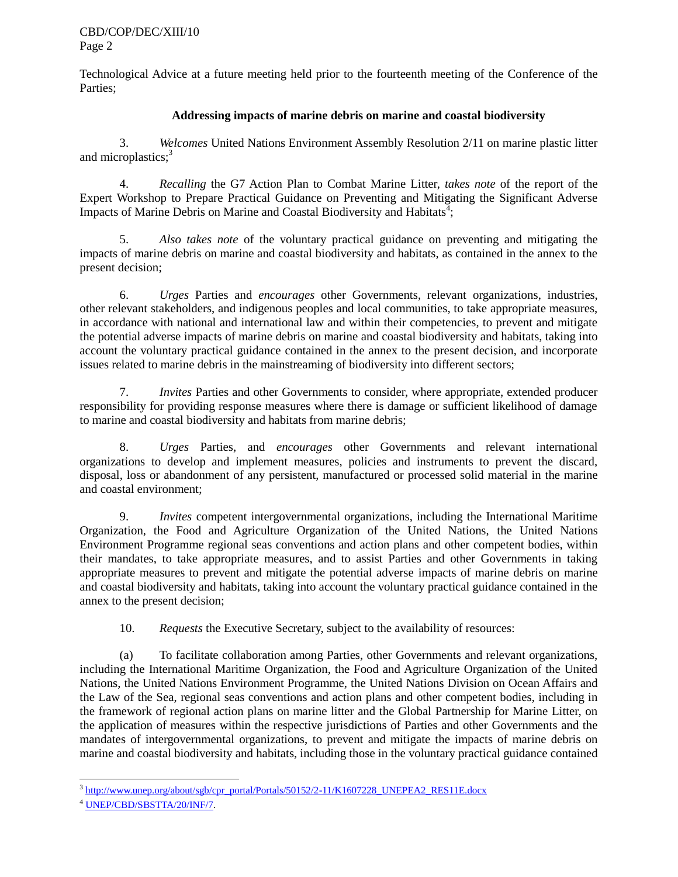Technological Advice at a future meeting held prior to the fourteenth meeting of the Conference of the Parties;

## **Addressing impacts of marine debris on marine and coastal biodiversity**

3. *Welcomes* United Nations Environment Assembly Resolution 2/11 on marine plastic litter and microplastics;<sup>3</sup>

4. *Recalling* the G7 Action Plan to Combat Marine Litter, *takes note* of the report of the Expert Workshop to Prepare Practical Guidance on Preventing and Mitigating the Significant Adverse Impacts of Marine Debris on Marine and Coastal Biodiversity and Habitats<sup>3</sup>;

5. *Also takes note* of the voluntary practical guidance on preventing and mitigating the impacts of marine debris on marine and coastal biodiversity and habitats, as contained in the annex to the present decision;

6. *Urges* Parties and *encourages* other Governments, relevant organizations, industries, other relevant stakeholders, and indigenous peoples and local communities, to take appropriate measures, in accordance with national and international law and within their competencies, to prevent and mitigate the potential adverse impacts of marine debris on marine and coastal biodiversity and habitats, taking into account the voluntary practical guidance contained in the annex to the present decision, and incorporate issues related to marine debris in the mainstreaming of biodiversity into different sectors;

7. *Invites* Parties and other Governments to consider, where appropriate, extended producer responsibility for providing response measures where there is damage or sufficient likelihood of damage to marine and coastal biodiversity and habitats from marine debris;

8. *Urges* Parties, and *encourages* other Governments and relevant international organizations to develop and implement measures, policies and instruments to prevent the discard, disposal, loss or abandonment of any persistent, manufactured or processed solid material in the marine and coastal environment;

9. *Invites* competent intergovernmental organizations, including the International Maritime Organization, the Food and Agriculture Organization of the United Nations, the United Nations Environment Programme regional seas conventions and action plans and other competent bodies, within their mandates, to take appropriate measures, and to assist Parties and other Governments in taking appropriate measures to prevent and mitigate the potential adverse impacts of marine debris on marine and coastal biodiversity and habitats, taking into account the voluntary practical guidance contained in the annex to the present decision;

10. *Requests* the Executive Secretary, subject to the availability of resources:

(a) To facilitate collaboration among Parties, other Governments and relevant organizations, including the International Maritime Organization, the Food and Agriculture Organization of the United Nations, the United Nations Environment Programme, the United Nations Division on Ocean Affairs and the Law of the Sea, regional seas conventions and action plans and other competent bodies, including in the framework of regional action plans on marine litter and the Global Partnership for Marine Litter, on the application of measures within the respective jurisdictions of Parties and other Governments and the mandates of intergovernmental organizations, to prevent and mitigate the impacts of marine debris on marine and coastal biodiversity and habitats, including those in the voluntary practical guidance contained

l <sup>3</sup> [http://www.unep.org/about/sgb/cpr\\_portal/Portals/50152/2-11/K1607228\\_UNEPEA2\\_RES11E.docx](http://www.unep.org/about/sgb/cpr_portal/Portals/50152/2-11/K1607228_UNEPEA2_RES11E.docx)

<sup>4</sup> [UNEP/CBD/SBSTTA/20/INF/7.](https://www.cbd.int/doc/meetings/sbstta/sbstta-20/information/sbstta-20-inf-07-en.doc)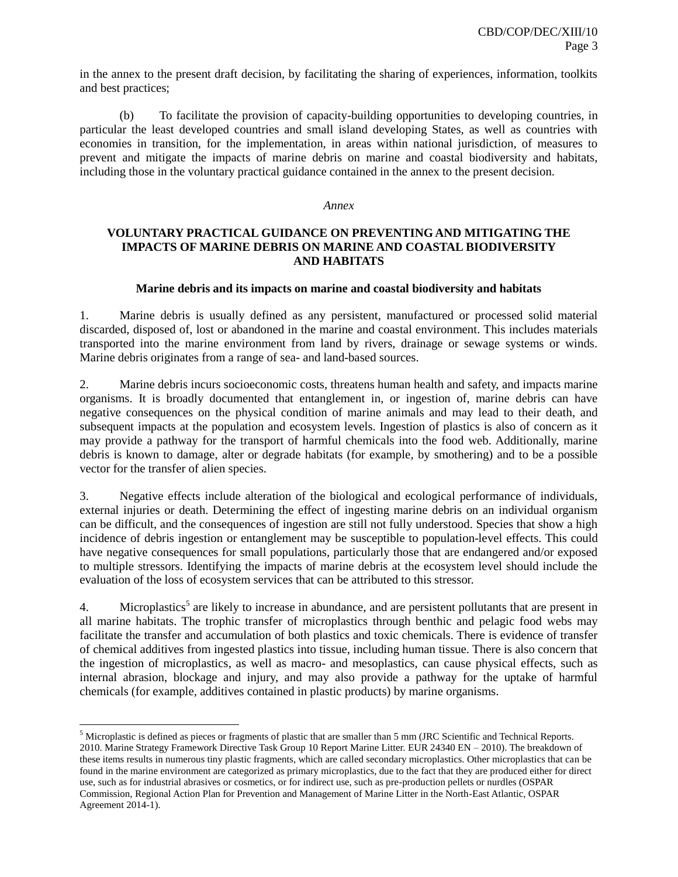in the annex to the present draft decision, by facilitating the sharing of experiences, information, toolkits and best practices;

(b) To facilitate the provision of capacity-building opportunities to developing countries, in particular the least developed countries and small island developing States, as well as countries with economies in transition, for the implementation, in areas within national jurisdiction, of measures to prevent and mitigate the impacts of marine debris on marine and coastal biodiversity and habitats, including those in the voluntary practical guidance contained in the annex to the present decision.

#### *Annex*

### **VOLUNTARY PRACTICAL GUIDANCE ON PREVENTING AND MITIGATING THE IMPACTS OF MARINE DEBRIS ON MARINE AND COASTAL BIODIVERSITY AND HABITATS**

#### **Marine debris and its impacts on marine and coastal biodiversity and habitats**

1. Marine debris is usually defined as any persistent, manufactured or processed solid material discarded, disposed of, lost or abandoned in the marine and coastal environment. This includes materials transported into the marine environment from land by rivers, drainage or sewage systems or winds. Marine debris originates from a range of sea- and land-based sources.

2. Marine debris incurs socioeconomic costs, threatens human health and safety, and impacts marine organisms. It is broadly documented that entanglement in, or ingestion of, marine debris can have negative consequences on the physical condition of marine animals and may lead to their death, and subsequent impacts at the population and ecosystem levels. Ingestion of plastics is also of concern as it may provide a pathway for the transport of harmful chemicals into the food web. Additionally, marine debris is known to damage, alter or degrade habitats (for example, by smothering) and to be a possible vector for the transfer of alien species.

3. Negative effects include alteration of the biological and ecological performance of individuals, external injuries or death. Determining the effect of ingesting marine debris on an individual organism can be difficult, and the consequences of ingestion are still not fully understood. Species that show a high incidence of debris ingestion or entanglement may be susceptible to population-level effects. This could have negative consequences for small populations, particularly those that are endangered and/or exposed to multiple stressors. Identifying the impacts of marine debris at the ecosystem level should include the evaluation of the loss of ecosystem services that can be attributed to this stressor.

4. Microplastics<sup>5</sup> are likely to increase in abundance, and are persistent pollutants that are present in all marine habitats. The trophic transfer of microplastics through benthic and pelagic food webs may facilitate the transfer and accumulation of both plastics and toxic chemicals. There is evidence of transfer of chemical additives from ingested plastics into tissue, including human tissue. There is also concern that the ingestion of microplastics, as well as macro- and mesoplastics, can cause physical effects, such as internal abrasion, blockage and injury, and may also provide a pathway for the uptake of harmful chemicals (for example, additives contained in plastic products) by marine organisms.

 $\overline{\phantom{a}}$ 

<sup>&</sup>lt;sup>5</sup> Microplastic is defined as pieces or fragments of plastic that are smaller than 5 mm (JRC Scientific and Technical Reports. 2010. Marine Strategy Framework Directive Task Group 10 Report Marine Litter. EUR 24340 EN – 2010). The breakdown of these items results in numerous tiny plastic fragments, which are called secondary microplastics. Other microplastics that can be found in the marine environment are categorized as primary microplastics, due to the fact that they are produced either for direct use, such as for industrial abrasives or cosmetics, or for indirect use, such as pre-production pellets or nurdles (OSPAR Commission, Regional Action Plan for Prevention and Management of Marine Litter in the North-East Atlantic, OSPAR Agreement 2014-1).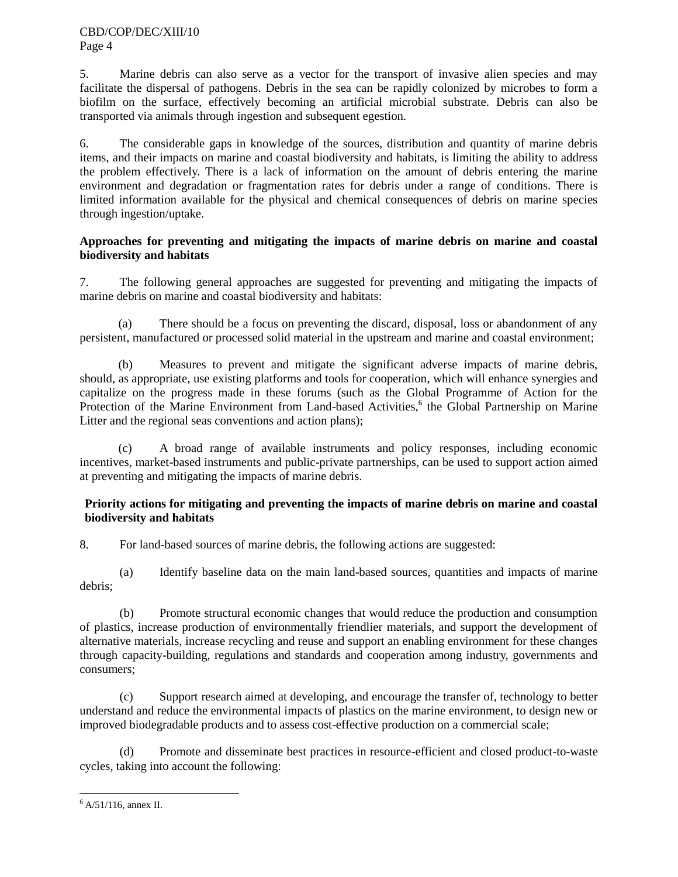5. Marine debris can also serve as a vector for the transport of invasive alien species and may facilitate the dispersal of pathogens. Debris in the sea can be rapidly colonized by microbes to form a biofilm on the surface, effectively becoming an artificial microbial substrate. Debris can also be transported via animals through ingestion and subsequent egestion.

6. The considerable gaps in knowledge of the sources, distribution and quantity of marine debris items, and their impacts on marine and coastal biodiversity and habitats, is limiting the ability to address the problem effectively. There is a lack of information on the amount of debris entering the marine environment and degradation or fragmentation rates for debris under a range of conditions. There is limited information available for the physical and chemical consequences of debris on marine species through ingestion/uptake.

## **Approaches for preventing and mitigating the impacts of marine debris on marine and coastal biodiversity and habitats**

7. The following general approaches are suggested for preventing and mitigating the impacts of marine debris on marine and coastal biodiversity and habitats:

(a) There should be a focus on preventing the discard, disposal, loss or abandonment of any persistent, manufactured or processed solid material in the upstream and marine and coastal environment;

(b) Measures to prevent and mitigate the significant adverse impacts of marine debris, should, as appropriate, use existing platforms and tools for cooperation, which will enhance synergies and capitalize on the progress made in these forums (such as the Global Programme of Action for the Protection of the Marine Environment from Land-based Activities,<sup>6</sup> the Global Partnership on Marine Litter and the regional seas conventions and action plans);

(c) A broad range of available instruments and policy responses, including economic incentives, market-based instruments and public-private partnerships, can be used to support action aimed at preventing and mitigating the impacts of marine debris.

## **Priority actions for mitigating and preventing the impacts of marine debris on marine and coastal biodiversity and habitats**

8. For land-based sources of marine debris, the following actions are suggested:

(a) Identify baseline data on the main land-based sources, quantities and impacts of marine debris;

(b) Promote structural economic changes that would reduce the production and consumption of plastics, increase production of environmentally friendlier materials, and support the development of alternative materials, increase recycling and reuse and support an enabling environment for these changes through capacity-building, regulations and standards and cooperation among industry, governments and consumers;

(c) Support research aimed at developing, and encourage the transfer of, technology to better understand and reduce the environmental impacts of plastics on the marine environment, to design new or improved biodegradable products and to assess cost-effective production on a commercial scale;

(d) Promote and disseminate best practices in resource-efficient and closed product-to-waste cycles, taking into account the following:

 $\overline{a}$  $6$  A/51/116, annex II.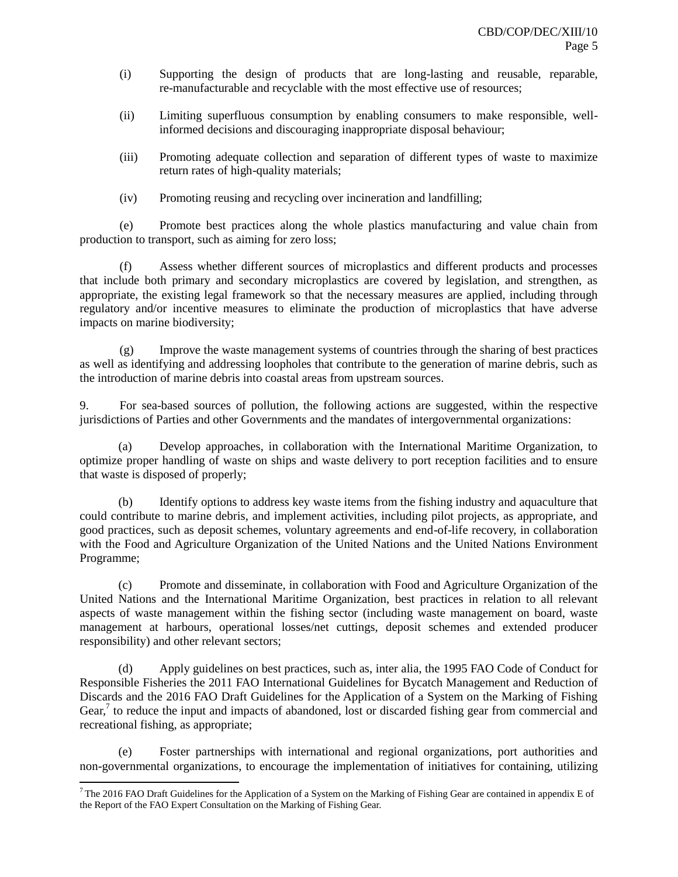- (i) Supporting the design of products that are long-lasting and reusable, reparable, re-manufacturable and recyclable with the most effective use of resources;
- (ii) Limiting superfluous consumption by enabling consumers to make responsible, wellinformed decisions and discouraging inappropriate disposal behaviour;
- (iii) Promoting adequate collection and separation of different types of waste to maximize return rates of high-quality materials;
- (iv) Promoting reusing and recycling over incineration and landfilling;

(e) Promote best practices along the whole plastics manufacturing and value chain from production to transport, such as aiming for zero loss;

(f) Assess whether different sources of microplastics and different products and processes that include both primary and secondary microplastics are covered by legislation, and strengthen, as appropriate, the existing legal framework so that the necessary measures are applied, including through regulatory and/or incentive measures to eliminate the production of microplastics that have adverse impacts on marine biodiversity;

(g) Improve the waste management systems of countries through the sharing of best practices as well as identifying and addressing loopholes that contribute to the generation of marine debris, such as the introduction of marine debris into coastal areas from upstream sources.

9. For sea-based sources of pollution, the following actions are suggested, within the respective jurisdictions of Parties and other Governments and the mandates of intergovernmental organizations:

(a) Develop approaches, in collaboration with the International Maritime Organization, to optimize proper handling of waste on ships and waste delivery to port reception facilities and to ensure that waste is disposed of properly;

(b) Identify options to address key waste items from the fishing industry and aquaculture that could contribute to marine debris, and implement activities, including pilot projects, as appropriate, and good practices, such as deposit schemes, voluntary agreements and end-of-life recovery, in collaboration with the Food and Agriculture Organization of the United Nations and the United Nations Environment Programme;

(c) Promote and disseminate, in collaboration with Food and Agriculture Organization of the United Nations and the International Maritime Organization, best practices in relation to all relevant aspects of waste management within the fishing sector (including waste management on board, waste management at harbours, operational losses/net cuttings, deposit schemes and extended producer responsibility) and other relevant sectors;

(d) Apply guidelines on best practices, such as, inter alia, the 1995 FAO Code of Conduct for Responsible Fisheries the 2011 FAO International Guidelines for Bycatch Management and Reduction of Discards and the 2016 FAO Draft Guidelines for the Application of a System on the Marking of Fishing Gear,<sup>7</sup> to reduce the input and impacts of abandoned, lost or discarded fishing gear from commercial and recreational fishing, as appropriate;

(e) Foster partnerships with international and regional organizations, port authorities and non-governmental organizations, to encourage the implementation of initiatives for containing, utilizing

l

<sup>&</sup>lt;sup>7</sup> The 2016 FAO Draft Guidelines for the Application of a System on the Marking of Fishing Gear are contained in appendix E of the Report of the FAO Expert Consultation on the Marking of Fishing Gear.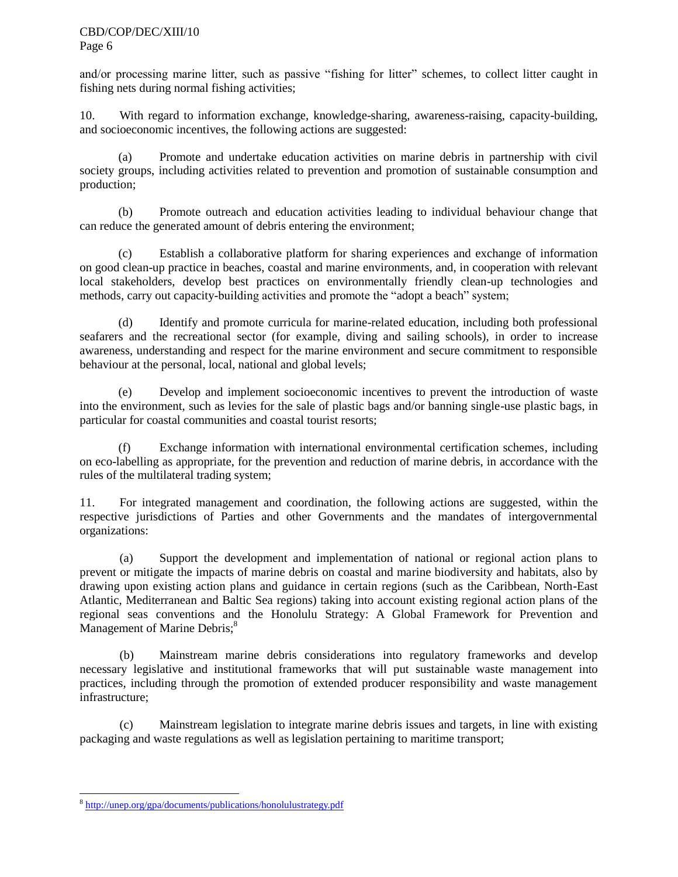and/or processing marine litter, such as passive "fishing for litter" schemes, to collect litter caught in fishing nets during normal fishing activities;

10. With regard to information exchange, knowledge-sharing, awareness-raising, capacity-building, and socioeconomic incentives, the following actions are suggested:

(a) Promote and undertake education activities on marine debris in partnership with civil society groups, including activities related to prevention and promotion of sustainable consumption and production;

(b) Promote outreach and education activities leading to individual behaviour change that can reduce the generated amount of debris entering the environment;

(c) Establish a collaborative platform for sharing experiences and exchange of information on good clean-up practice in beaches, coastal and marine environments, and, in cooperation with relevant local stakeholders, develop best practices on environmentally friendly clean-up technologies and methods, carry out capacity-building activities and promote the "adopt a beach" system;

(d) Identify and promote curricula for marine-related education, including both professional seafarers and the recreational sector (for example, diving and sailing schools), in order to increase awareness, understanding and respect for the marine environment and secure commitment to responsible behaviour at the personal, local, national and global levels;

(e) Develop and implement socioeconomic incentives to prevent the introduction of waste into the environment, such as levies for the sale of plastic bags and/or banning single-use plastic bags, in particular for coastal communities and coastal tourist resorts;

(f) Exchange information with international environmental certification schemes, including on eco-labelling as appropriate, for the prevention and reduction of marine debris, in accordance with the rules of the multilateral trading system;

11. For integrated management and coordination, the following actions are suggested, within the respective jurisdictions of Parties and other Governments and the mandates of intergovernmental organizations:

(a) Support the development and implementation of national or regional action plans to prevent or mitigate the impacts of marine debris on coastal and marine biodiversity and habitats, also by drawing upon existing action plans and guidance in certain regions (such as the Caribbean, North-East Atlantic, Mediterranean and Baltic Sea regions) taking into account existing regional action plans of the regional seas conventions and the Honolulu Strategy: A Global Framework for Prevention and Management of Marine Debris;<sup>8</sup>

(b) Mainstream marine debris considerations into regulatory frameworks and develop necessary legislative and institutional frameworks that will put sustainable waste management into practices, including through the promotion of extended producer responsibility and waste management infrastructure;

(c) Mainstream legislation to integrate marine debris issues and targets, in line with existing packaging and waste regulations as well as legislation pertaining to maritime transport;

 $\overline{a}$ <sup>8</sup> <http://unep.org/gpa/documents/publications/honolulustrategy.pdf>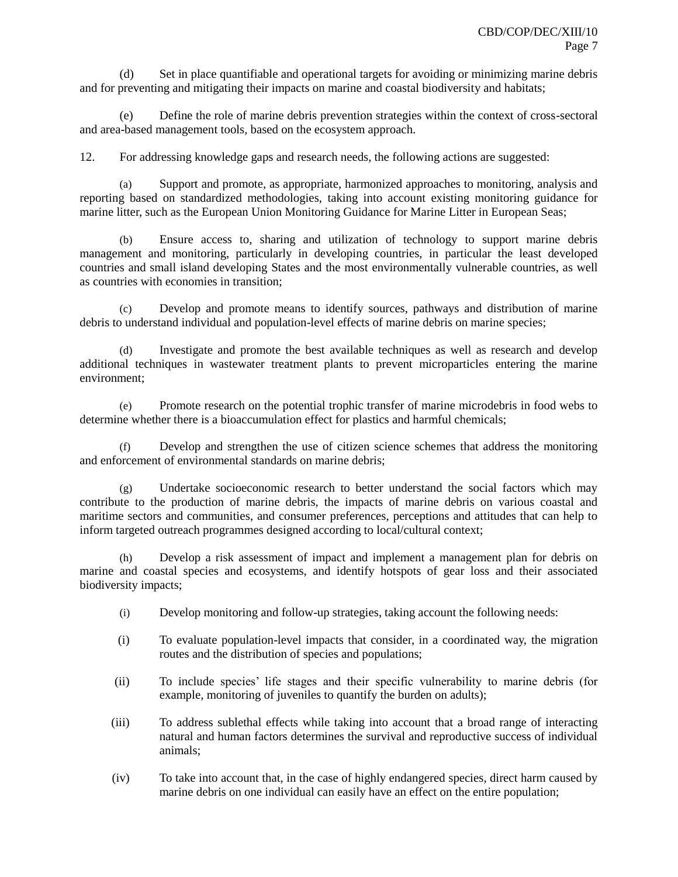(d) Set in place quantifiable and operational targets for avoiding or minimizing marine debris and for preventing and mitigating their impacts on marine and coastal biodiversity and habitats;

(e) Define the role of marine debris prevention strategies within the context of cross-sectoral and area-based management tools, based on the ecosystem approach.

12. For addressing knowledge gaps and research needs, the following actions are suggested:

Support and promote, as appropriate, harmonized approaches to monitoring, analysis and reporting based on standardized methodologies, taking into account existing monitoring guidance for marine litter, such as the European Union Monitoring Guidance for Marine Litter in European Seas;

(b) Ensure access to, sharing and utilization of technology to support marine debris management and monitoring, particularly in developing countries, in particular the least developed countries and small island developing States and the most environmentally vulnerable countries, as well as countries with economies in transition;

(c) Develop and promote means to identify sources, pathways and distribution of marine debris to understand individual and population-level effects of marine debris on marine species;

(d) Investigate and promote the best available techniques as well as research and develop additional techniques in wastewater treatment plants to prevent microparticles entering the marine environment;

(e) Promote research on the potential trophic transfer of marine microdebris in food webs to determine whether there is a bioaccumulation effect for plastics and harmful chemicals;

(f) Develop and strengthen the use of citizen science schemes that address the monitoring and enforcement of environmental standards on marine debris;

(g) Undertake socioeconomic research to better understand the social factors which may contribute to the production of marine debris, the impacts of marine debris on various coastal and maritime sectors and communities, and consumer preferences, perceptions and attitudes that can help to inform targeted outreach programmes designed according to local/cultural context;

(h) Develop a risk assessment of impact and implement a management plan for debris on marine and coastal species and ecosystems, and identify hotspots of gear loss and their associated biodiversity impacts;

- (i) Develop monitoring and follow-up strategies, taking account the following needs:
- (i) To evaluate population-level impacts that consider, in a coordinated way, the migration routes and the distribution of species and populations;
- (ii) To include species' life stages and their specific vulnerability to marine debris (for example, monitoring of juveniles to quantify the burden on adults);
- (iii) To address sublethal effects while taking into account that a broad range of interacting natural and human factors determines the survival and reproductive success of individual animals;
- (iv) To take into account that, in the case of highly endangered species, direct harm caused by marine debris on one individual can easily have an effect on the entire population;